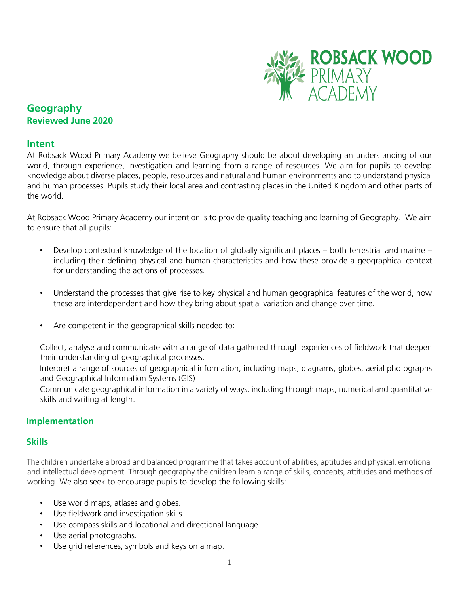

# **Geography Reviewed June 2020**

## **Intent**

At Robsack Wood Primary Academy we believe Geography should be about developing an understanding of our world, through experience, investigation and learning from a range of resources. We aim for pupils to develop knowledge about diverse places, people, resources and natural and human environments and to understand physical and human processes. Pupils study their local area and contrasting places in the United Kingdom and other parts of the world.

At Robsack Wood Primary Academy our intention is to provide quality teaching and learning of Geography. We aim to ensure that all pupils:

- Develop contextual knowledge of the location of globally significant places both terrestrial and marine including their defining physical and human characteristics and how these provide a geographical context for understanding the actions of processes.
- Understand the processes that give rise to key physical and human geographical features of the world, how these are interdependent and how they bring about spatial variation and change over time.
- Are competent in the geographical skills needed to:

Collect, analyse and communicate with a range of data gathered through experiences of fieldwork that deepen their understanding of geographical processes.

Interpret a range of sources of geographical information, including maps, diagrams, globes, aerial photographs and Geographical Information Systems (GIS)

Communicate geographical information in a variety of ways, including through maps, numerical and quantitative skills and writing at length.

### **Implementation**

### **Skills**

The children undertake a broad and balanced programme that takes account of abilities, aptitudes and physical, emotional and intellectual development. Through geography the children learn a range of skills, concepts, attitudes and methods of working. We also seek to encourage pupils to develop the following skills:

- Use world maps, atlases and globes.
- Use fieldwork and investigation skills.
- Use compass skills and locational and directional language.
- Use aerial photographs.
- Use grid references, symbols and keys on a map.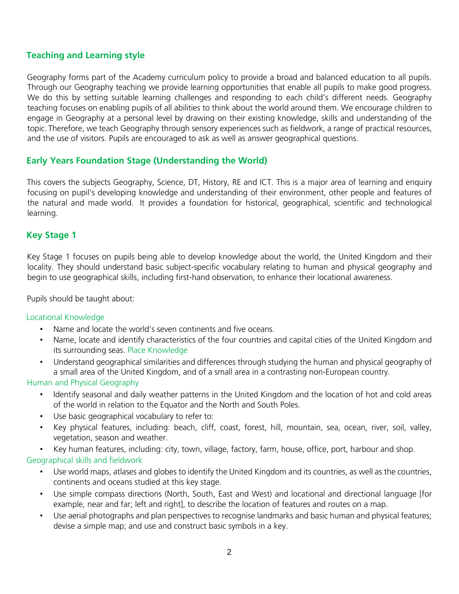# **Teaching and Learning style**

Geography forms part of the Academy curriculum policy to provide a broad and balanced education to all pupils. Through our Geography teaching we provide learning opportunities that enable all pupils to make good progress. We do this by setting suitable learning challenges and responding to each child's different needs. Geography teaching focuses on enabling pupils of all abilities to think about the world around them. We encourage children to engage in Geography at a personal level by drawing on their existing knowledge, skills and understanding of the topic. Therefore, we teach Geography through sensory experiences such as fieldwork, a range of practical resources, and the use of visitors. Pupils are encouraged to ask as well as answer geographical questions.

### **Early Years Foundation Stage (Understanding the World)**

This covers the subjects Geography, Science, DT, History, RE and ICT. This is a major area of learning and enquiry focusing on pupil's developing knowledge and understanding of their environment, other people and features of the natural and made world. It provides a foundation for historical, geographical, scientific and technological learning.

# **Key Stage 1**

Key Stage 1 focuses on pupils being able to develop knowledge about the world, the United Kingdom and their locality. They should understand basic subject-specific vocabulary relating to human and physical geography and begin to use geographical skills, including first-hand observation, to enhance their locational awareness.

Pupils should be taught about:

#### Locational Knowledge

- Name and locate the world's seven continents and five oceans.
- Name, locate and identify characteristics of the four countries and capital cities of the United Kingdom and its surrounding seas. Place Knowledge
- Understand geographical similarities and differences through studying the human and physical geography of a small area of the United Kingdom, and of a small area in a contrasting non-European country.

### Human and Physical Geography

- Identify seasonal and daily weather patterns in the United Kingdom and the location of hot and cold areas of the world in relation to the Equator and the North and South Poles.
- Use basic geographical vocabulary to refer to:
- Key physical features, including: beach, cliff, coast, forest, hill, mountain, sea, ocean, river, soil, valley, vegetation, season and weather.

• Key human features, including: city, town, village, factory, farm, house, office, port, harbour and shop. Geographical skills and fieldwork

- Use world maps, atlases and globes to identify the United Kingdom and its countries, as well as the countries, continents and oceans studied at this key stage.
- Use simple compass directions (North, South, East and West) and locational and directional language [for example, near and far; left and right], to describe the location of features and routes on a map.
- Use aerial photographs and plan perspectives to recognise landmarks and basic human and physical features; devise a simple map; and use and construct basic symbols in a key.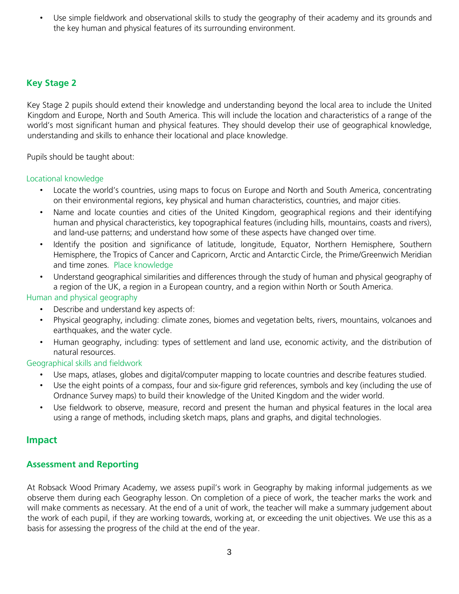• Use simple fieldwork and observational skills to study the geography of their academy and its grounds and the key human and physical features of its surrounding environment.

# **Key Stage 2**

Key Stage 2 pupils should extend their knowledge and understanding beyond the local area to include the United Kingdom and Europe, North and South America. This will include the location and characteristics of a range of the world's most significant human and physical features. They should develop their use of geographical knowledge, understanding and skills to enhance their locational and place knowledge.

Pupils should be taught about:

### Locational knowledge

- Locate the world's countries, using maps to focus on Europe and North and South America, concentrating on their environmental regions, key physical and human characteristics, countries, and major cities.
- Name and locate counties and cities of the United Kingdom, geographical regions and their identifying human and physical characteristics, key topographical features (including hills, mountains, coasts and rivers), and land-use patterns; and understand how some of these aspects have changed over time.
- Identify the position and significance of latitude, longitude, Equator, Northern Hemisphere, Southern Hemisphere, the Tropics of Cancer and Capricorn, Arctic and Antarctic Circle, the Prime/Greenwich Meridian and time zones. Place knowledge
- Understand geographical similarities and differences through the study of human and physical geography of a region of the UK, a region in a European country, and a region within North or South America.

### Human and physical geography

- Describe and understand key aspects of:
- Physical geography, including: climate zones, biomes and vegetation belts, rivers, mountains, volcanoes and earthquakes, and the water cycle.
- Human geography, including: types of settlement and land use, economic activity, and the distribution of natural resources.

#### Geographical skills and fieldwork

- Use maps, atlases, globes and digital/computer mapping to locate countries and describe features studied.
- Use the eight points of a compass, four and six-figure grid references, symbols and key (including the use of Ordnance Survey maps) to build their knowledge of the United Kingdom and the wider world.
- Use fieldwork to observe, measure, record and present the human and physical features in the local area using a range of methods, including sketch maps, plans and graphs, and digital technologies.

# **Impact**

# **Assessment and Reporting**

At Robsack Wood Primary Academy, we assess pupil's work in Geography by making informal judgements as we observe them during each Geography lesson. On completion of a piece of work, the teacher marks the work and will make comments as necessary. At the end of a unit of work, the teacher will make a summary judgement about the work of each pupil, if they are working towards, working at, or exceeding the unit objectives. We use this as a basis for assessing the progress of the child at the end of the year.